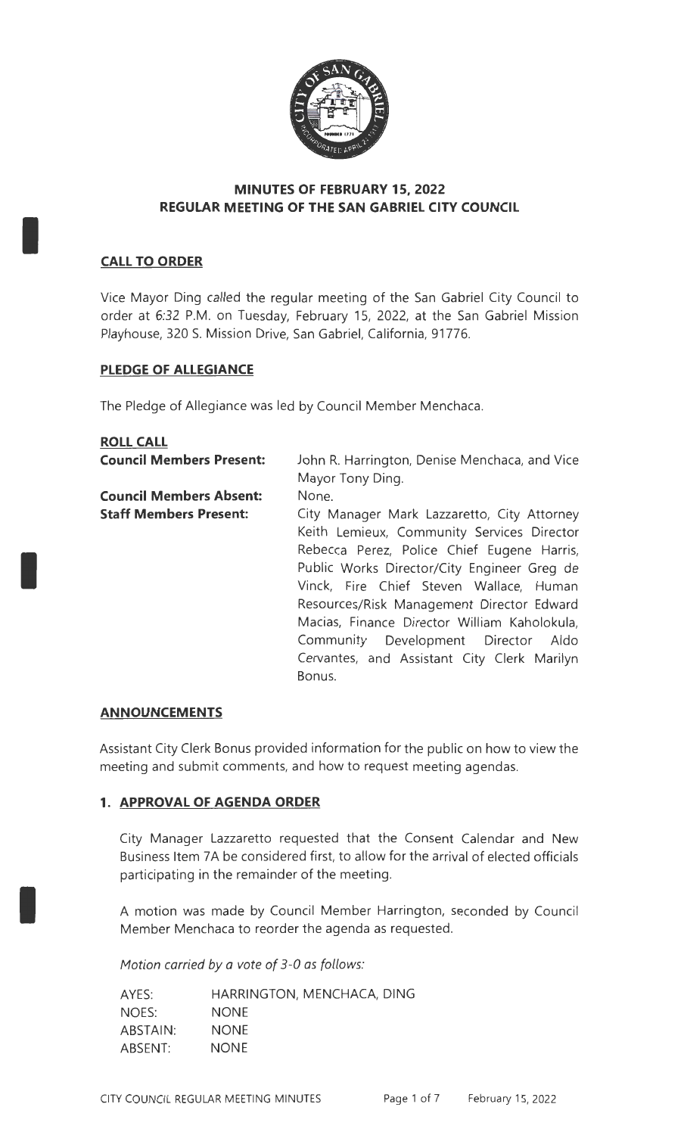

## **MINUTES OF FEBRUARY 15, 2022 REGULAR MEETING OF THE SAN GABRIEL CITY COUNCIL**

# **CALL TO ORDER**

I

I

I

Vice Mayor Ding called the regular meeting of the San Gabriel City Council to order at 6:32 P.M. on Tuesday, February 15, 2022, at the San Gabriel Mission Playhouse, 320 S. Mission Drive, San Gabriel, California, 91776.

## **PLEDGE OF ALLEGIANCE**

The Pledge of Allegiance was led by Council Member Menchaca.

| <b>ROLL CALL</b>                |                                               |
|---------------------------------|-----------------------------------------------|
| <b>Council Members Present:</b> | John R. Harrington, Denise Menchaca, and Vice |
|                                 | Mayor Tony Ding.                              |
| <b>Council Members Absent:</b>  | None.                                         |
| <b>Staff Members Present:</b>   | City Manager Mark Lazzaretto, City Attorney   |
|                                 | Keith Lemieux, Community Services Director    |
|                                 | Rebecca Perez, Police Chief Eugene Harris,    |
|                                 | Public Works Director/City Engineer Greg de   |
|                                 | Vinck, Fire Chief Steven Wallace, Human       |
|                                 | Resources/Risk Management Director Edward     |
|                                 | Macias, Finance Director William Kaholokula,  |
|                                 | Community Development Director Aldo           |
|                                 | Cervantes, and Assistant City Clerk Marilyn   |
|                                 | Bonus.                                        |
|                                 |                                               |

#### **ANNOUNCEMENTS**

Assistant City Clerk Bonus provided information for the public on how to view the meeting and submit comments, and how to request meeting agendas.

# **1. APPROVAL OF AGENDA ORDER**

City Manager Lazzaretto requested that the Consent Calendar and New Business Item 7A be considered first, to allow for the arrival of elected officials participating in the remainder of the meeting.

A motion was made by Council Member Harrington, seconded by Council Member Menchaca to reorder the agenda as requested.

Motion carried *by* a vote of 3-0 as follows:

| AYES:    | HARRINGTON, MENCHACA, DING |
|----------|----------------------------|
| NOES:    | <b>NONE</b>                |
| ABSTAIN: | <b>NONE</b>                |
| ABSENT:  | <b>NONE</b>                |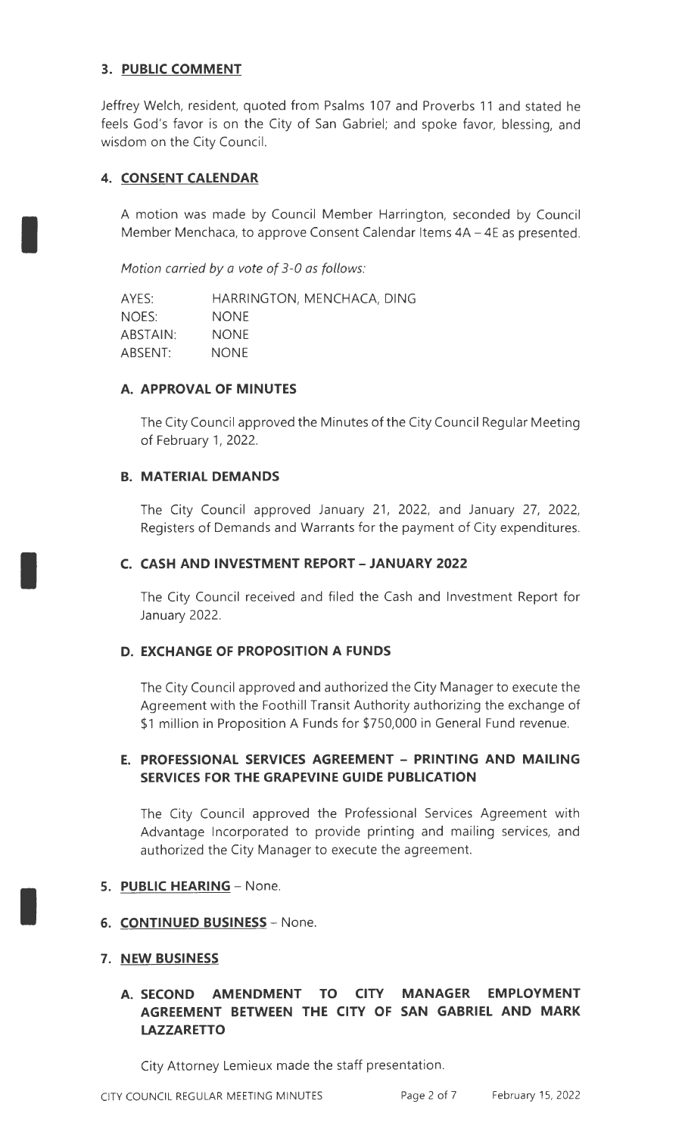# **3. PUBLIC COMMENT**

Jeffrey Welch, resident, quoted from Psalms 107 and Proverbs 11 and stated he feels God's favor is on the City of San Gabriel; and spoke favor, blessing, and wisdom on the City Council.

# **4. CONSENT CALENDAR**

I

I

I

A motion was made by Council Member Harrington, seconded by Council Member Menchaca, to approve Consent Calendar Items 4A - 4E as presented.

Motion carried *by* a vote of 3-0 as follows:

AYES: NOES: ABSTAIN: ABSENT: HARRINGTON, MENCHACA, DING NONE NONE NONE

#### **A. APPROVAL OF MINUTES**

The City Council approved the Minutes of the City Council Regular Meeting of February 1, 2022.

## **B. MATERIAL DEMANDS**

The City Council approved January 21, 2022, and January 27, 2022, Registers of Demands and Warrants for the payment of City expenditures.

## **C. CASH AND INVESTMENT REPORT-JANUARY 2022**

The City Council received and filed the Cash and Investment Report for January 2022.

# **D. EXCHANGE OF PROPOSITION A FUNDS**

The City Council approved and authorized the City Manager to execute the Agreement with the Foothill Transit Authority authorizing the exchange of \$1 million in Proposition A Funds for \$750,000 in General Fund revenue.

# **E. PROFESSIONAL SERVICES AGREEMENT - PRINTING AND MAILING SERVICES FOR THE GRAPEVINE GUIDE PUBLICATION**

The City Council approved the Professional Services Agreement with Advantage Incorporated to provide printing and mailing services, and authorized the City Manager to execute the agreement.

#### **5. PUBLIC HEARING - None.**

**6. CONTINUED BUSINESS** - None.

# **7. NEW BUSINESS**

# **A. SECOND AMENDMENT TO CITY MANAGER EMPLOYMENT AGREEMENT BETWEEN THE CITY OF SAN GABRIEL AND MARK LAZZARETTO**

City Attorney Lemieux made the staff presentation.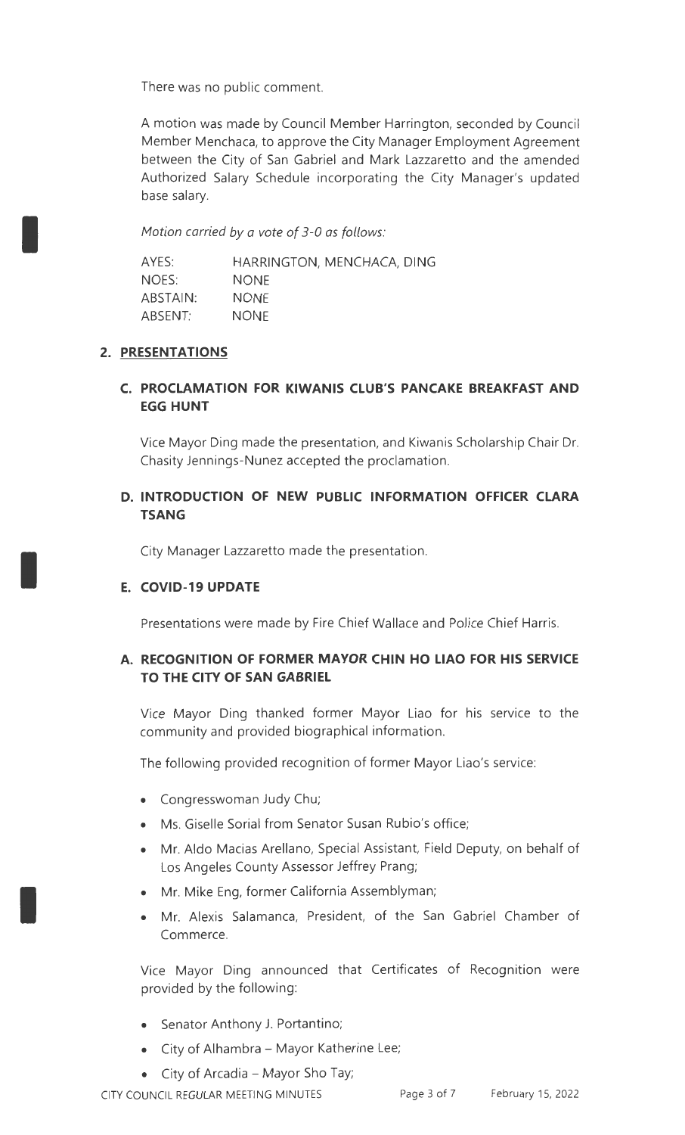There was no public comment.

A motion was made by Council Member Harrington, seconded by Council Member Menchaca, to approve the City Manager Employment Agreement between the City of San Gabriel and Mark Lazzaretto and the amended Authorized Salary Schedule incorporating the City Manager's updated base salary.

Motion carried *by* a vote of 3-0 as follows:

| AYES:    | HARRINGTON, MENCHACA, DING |
|----------|----------------------------|
| NOES:    | <b>NONE</b>                |
| ABSTAIN: | <b>NONE</b>                |
| ABSENT:  | <b>NONE</b>                |

## **2. PRESENTATIONS**

I

I

I

## **C. PROCLAMATION FOR KIWANIS CLUB'S PANCAKE BREAKFAST AND EGG HUNT**

Vice Mayor Ding made the presentation, and Kiwanis Scholarship Chair Dr. Chasity Jennings-Nunez accepted the proclamation.

# **D. INTRODUCTION OF NEW PUBLIC INFORMATION OFFICER CLARA TSANG**

City Manager Lazzaretto made the presentation.

#### **E. COVID-19 UPDATE**

Presentations were made by Fire Chief Wallace and Police Chief Harris.

# **A. RECOGNITION OF FORMER MAYOR CHIN HO LIAO FOR HIS SERVICE TO THE CITY OF SAN GABRIEL**

Vice Mayor Ding thanked former Mayor Liao for his service to the community and provided biographical information.

The following provided recognition of former Mayor Liao's service:

- Congresswoman Judy Chu;
- Ms. Giselle Sorial from Senator Susan Rubio's office;
- Mr. Aldo Macias Arellano, Special Assistant, Field Deputy, on behalf of Los Angeles County Assessor Jeffrey Prang;
- Mr. Mike Eng, former California Assemblyman;
- Mr. Alexis Salamanca, President, of the San Gabriel Chamber of Commerce.

Vice Mayor Ding announced that Certificates of Recognition were provided by the following:

- Senator Anthony J. Portantino;
- City of Alhambra Mayor Katherine Lee;
- City of Arcadia Mayor Sho Tay;

CITY COUNCIL REGULAR MEETING MINUTES Page 3 of 7 February 15, 2022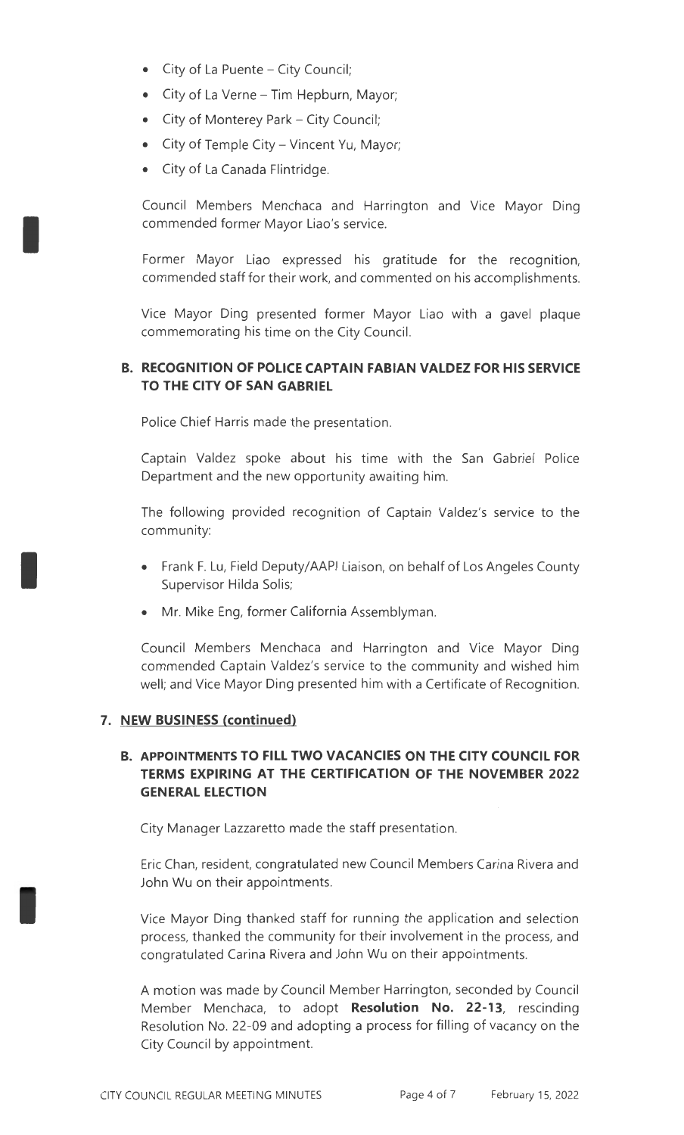- $\bullet$  City of La Puente City Council;
- City of La Verne Tim Hepburn, Mayor;
- City of Monterey Park City Council;
- City of Temple City- Vincent Yu, Mayor;
- City of La Canada Flintridge.

I

I

I

Council Members Menchaca and Harrington and Vice Mayor Ding commended former Mayor Liao's service.

Former Mayor Liao expressed his gratitude for the recognition, commended staff for their work, and commented on his accomplishments.

Vice Mayor Ding presented former Mayor Liao with a gavel plaque commemorating his time on the City Council.

#### **B. RECOGNITION OF POLICE CAPTAIN FABIAN VALDEZ FOR HIS SERVICE TO THE CITY OF SAN GABRIEL**

Police Chief Harris made the presentation.

Captain Valdez spoke about his time with the San Gabriel Police Department and the new opportunity awaiting him.

The following provided recognition of Captain Valdez's service to the community:

- Frank F. Lu, Field Deputy/AAPI Liaison, on behalf of Los Angeles County Supervisor Hilda Solis;
- Mr. Mike Eng, former California Assemblyman.

Council Members Menchaca and Harrington and Vice Mayor Ding commended Captain Valdez's service to the community and wished him well; and Vice Mayor Ding presented him with a Certificate of Recognition.

#### **7. NEW BUSINESS (continued)**

## **B. APPOINTMENTS TO FILL TWO VACANCIES ON THE CITY COUNCIL FOR TERMS EXPIRING AT THE CERTIFICATION OF THE NOVEMBER 2022 GENERAL ELECTION**

City Manager Lazzaretto made the staff presentation.

Eric Chan, resident, congratulated new Council Members Carina Rivera and John Wu on their appointments.

Vice Mayor Ding thanked staff for running the application and selection process, thanked the community for their involvement in the process, and congratulated Carina Rivera and John Wu on their appointments.

A motion was made by Council Member Harrington, seconded by Council Member Menchaca, to adopt **Resolution No. 22-13,** rescinding Resolution No. 22-09 and adopting a process for filling of vacancy on the City Council by appointment.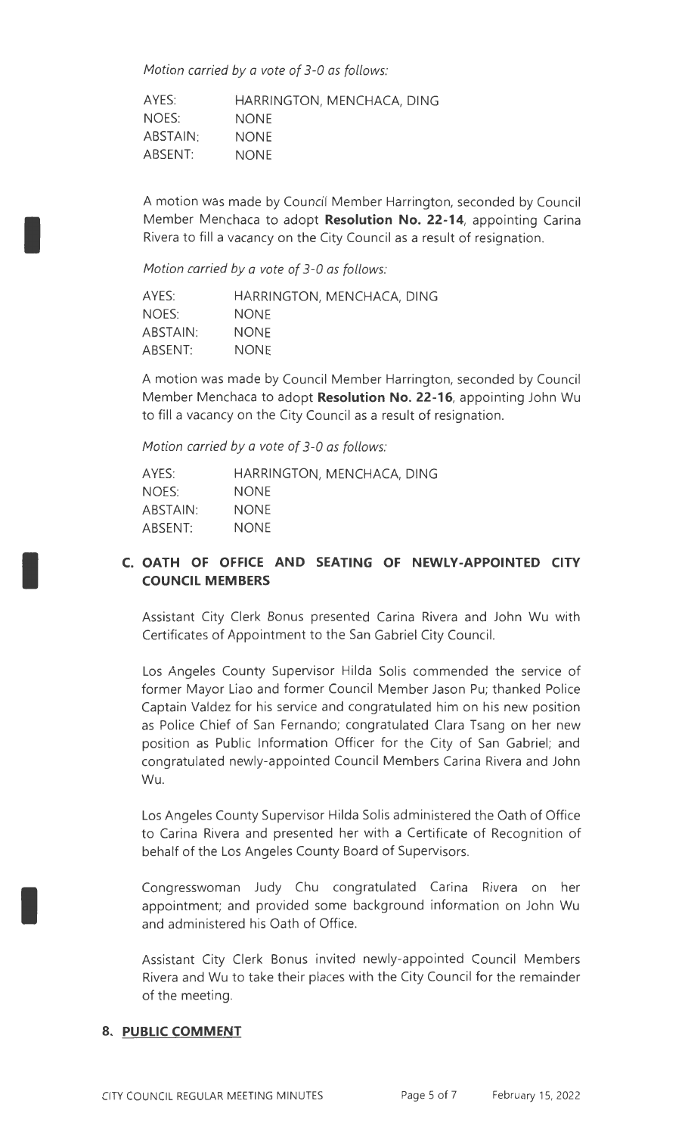Motion carried *by* a vote of 3-0 as follows:

AYES: NOES: ABSTAIN: ABSENT: HARRINGTON, MENCHACA, DING NONE NONE NONE

A motion was made by Council Member Harrington, seconded by Council Member Menchaca to adopt **Resolution No. 22-14,** appointing Carina Rivera to fill a vacancy on the City Council as a result of resignation.

Motion carried *by* a vote of 3-0 as follows:

I

I

I

| AYES:    | HARRINGTON, MENCHACA, DING |
|----------|----------------------------|
| NOES:    | <b>NONE</b>                |
| ABSTAIN: | <b>NONE</b>                |
| ABSENT:  | <b>NONE</b>                |

A motion was made by Council Member Harrington, seconded by Council Member Menchaca to adopt **Resolution No. 22-16,** appointing John Wu to fill a vacancy on the City Council as a result of resignation.

Motion carried *by* a vote of 3-0 as follows:

| AYES:    | HARRINGTON, MENCHACA, DING |
|----------|----------------------------|
| NOES:    | <b>NONE</b>                |
| ABSTAIN: | <b>NONE</b>                |
| ABSENT:  | <b>NONE</b>                |

# **C. OATH OF OFFICE AND SEATING OF NEWLY-APPOINTED CITY COUNCIL MEMBERS**

Assistant City Clerk Bonus presented Carina Rivera and John Wu with Certificates of Appointment to the San Gabriel City Council.

Los Angeles County Supervisor Hilda Solis commended the service of former Mayor Liao and former Council Member Jason Pu; thanked Police Captain Valdez for his service and congratulated him on his new position as Police Chief of San Fernando; congratulated Clara Tsang on her new position as Public Information Officer for the City of San Gabriel; and congratulated newly-appointed Council Members Carina Rivera and John Wu.

Los Angeles County Supervisor Hilda Solis administered the Oath of Office to Carina Rivera and presented her with a Certificate of Recognition of behalf of the Los Angeles County Board of Supervisors.

Congresswoman Judy Chu congratulated Carina Rivera on her appointment; and provided some background information on John Wu and administered his Oath of Office.

Assistant City Clerk Bonus invited newly-appointed Council Members Rivera and Wu to take their places with the City Council for the remainder of the meeting.

#### **8. PUBLIC COMMENT**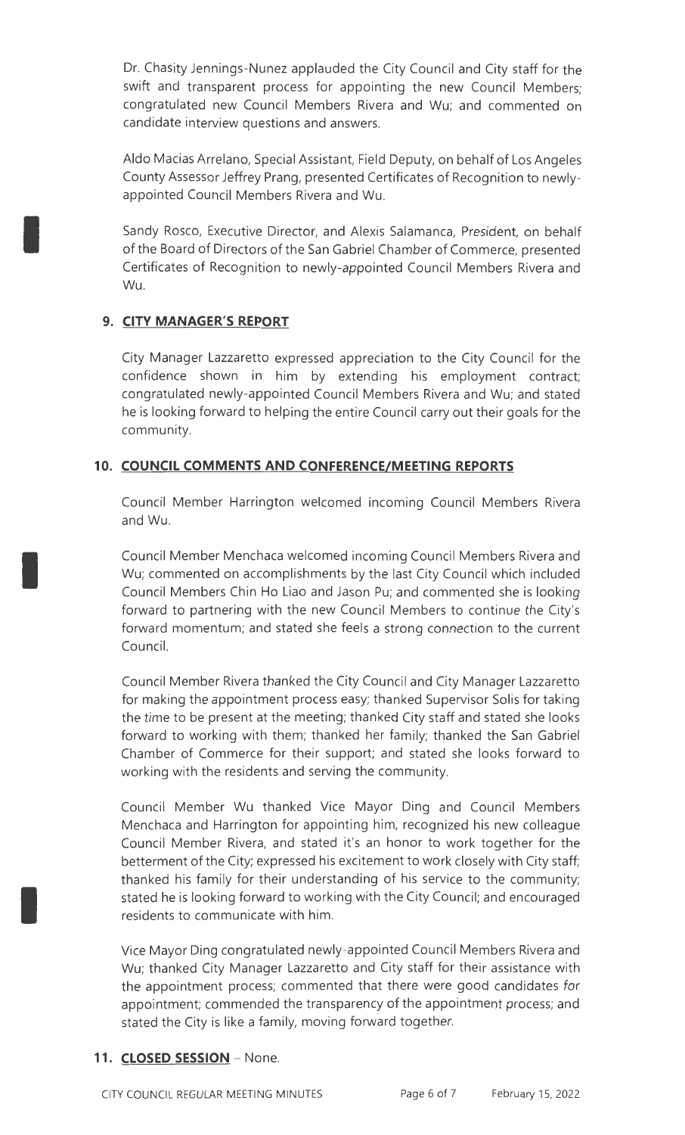Dr. Chasity Jennings-Nunez applauded the City Council and City staff for the swift and transparent process for appointing the new Council Members; congratulated new Council Members Rivera and Wu; and commented on candidate interview questions and answers.

Aldo Macias Arrelano, Special Assistant, Field Deputy, on behalf of Los Angeles County Assessor Jeffrey Prang, presented Certificates of Recognition to newlyappointed Council Members Rivera and Wu.

Sandy Rosco, Executive Director, and Alexis Salamanca, President, on behalf of the Board of Directors of the San Gabriel Chamber of Commerce, presented Certificates of Recognition to newly-appointed Council Members Rivera and Wu.

# **9. CITY MANAGER'S REPORT**

I

I

I

City Manager Lazzaretto expressed appreciation to the City Council for the confidence shown in him by extending his employment contract; congratulated newly-appointed Council Members Rivera and Wu; and stated he is looking forward to helping the entire Council carry out their goals for the community.

# **10. COUNCIL COMMENTS AND CONFERENCE/MEETING REPORTS**

Council Member Harrington welcomed incoming Council Members Rivera and Wu.

Council Member Menchaca welcomed incoming Council Members Rivera and Wu; commented on accomplishments by the last City Council which included Council Members Chin Ho Liao and Jason Pu; and commented she is looking forward to partnering with the new Council Members to continue the City's forward momentum; and stated she feels a strong connection to the current Council.

Council Member Rivera thanked the City Council and City Manager Lazzaretto for making the appointment process easy; thanked Supervisor Solis for taking the time to be present at the meeting; thanked City staff and stated she looks forward to working with them; thanked her family; thanked the San Gabriel Chamber of Commerce for their support; and stated she looks forward to working with the residents and serving the community.

Council Member Wu thanked Vice Mayor Ding and Council Members Menchaca and Harrington for appointing him, recognized his new colleague Council Member Rivera, and stated it's an honor to work together for the betterment of the City; expressed his excitement to work closely with City staff; thanked his family for their understanding of his service to the community; stated he is looking forward to working with the City Council; and encouraged residents to communicate with him.

Vice Mayor Ding congratulated newly-appointed Council Members Rivera and Wu; thanked City Manager Lazzaretto and City staff for their assistance with the appointment process; commented that there were good candidates for appointment; commended the transparency of the appointment process; and stated the City is like a family, moving forward together.

# 11. **CLOSED SESSION** - None.